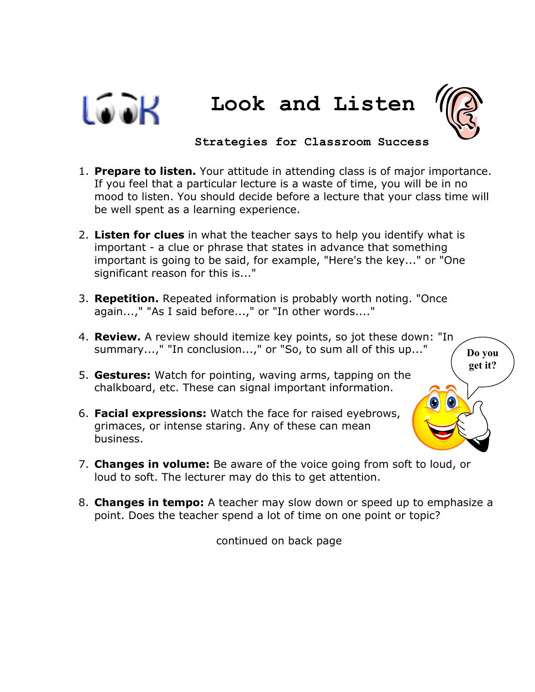



 **Strategies for Classroom Success** 

- 1. **Prepare to listen.** Your attitude in attending class is of major importance. If you feel that a particular lecture is a waste of time, you will be in no mood to listen. You should decide before a lecture that your class time will be well spent as a learning experience.
- 2. **Listen for clues** in what the teacher says to help you identify what is important - a clue or phrase that states in advance that something important is going to be said, for example, "Here's the key..." or "One significant reason for this is..."
- 3. **Repetition.** Repeated information is probably worth noting. "Once again...," "As I said before...," or "In other words...."
- 4. **Review.** A review should itemize key points, so jot these down: "In summary...," "In conclusion...," or "So, to sum all of this up..." 5. **Gestures:** Watch for pointing, waving arms, tapping on the chalkboard, etc. These can signal important information. 6. **Facial expressions:** Watch the face for raised eyebrows, grimaces, or intense staring. Any of these can mean business. **Do you get it?**
- 7. **Changes in volume:** Be aware of the voice going from soft to loud, or loud to soft. The lecturer may do this to get attention.
- 8. **Changes in tempo:** A teacher may slow down or speed up to emphasize a point. Does the teacher spend a lot of time on one point or topic?

continued on back page